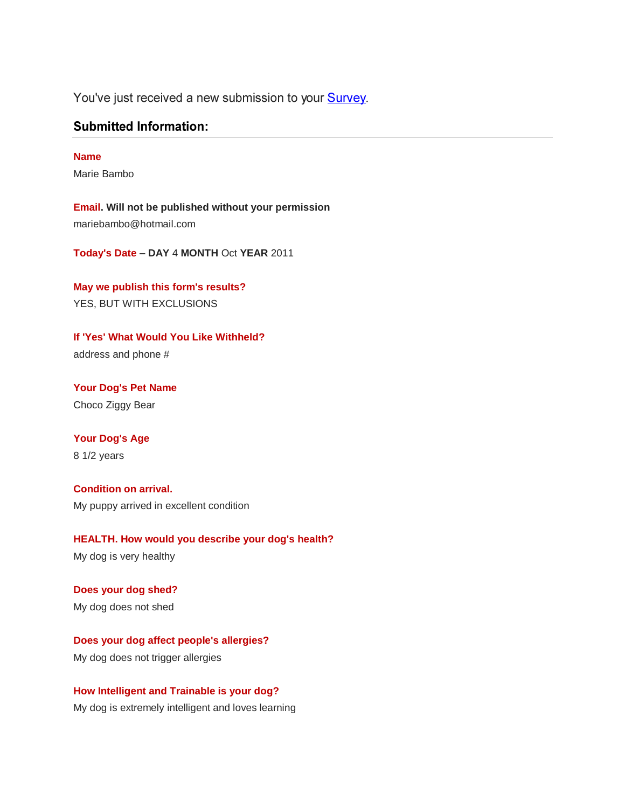You've just received a new submission to your Survey.

## **Submitted Information:**

#### **Name**

Marie Bambo

**Email. Will not be published without your permission** mariebambo@hotmail.com

**Today's Date – DAY** 4 **MONTH** Oct **YEAR** 2011

**May we publish this form's results?**  YES, BUT WITH EXCLUSIONS

**If 'Yes' What Would You Like Withheld?** address and phone #

**Your Dog's Pet Name** Choco Ziggy Bear

# **Your Dog's Age**

8 1/2 years

**Condition on arrival.** My puppy arrived in excellent condition

**HEALTH. How would you describe your dog's health?** My dog is very healthy

**Does your dog shed?** My dog does not shed

**Does your dog affect people's allergies?**  My dog does not trigger allergies

**How Intelligent and Trainable is your dog?** My dog is extremely intelligent and loves learning